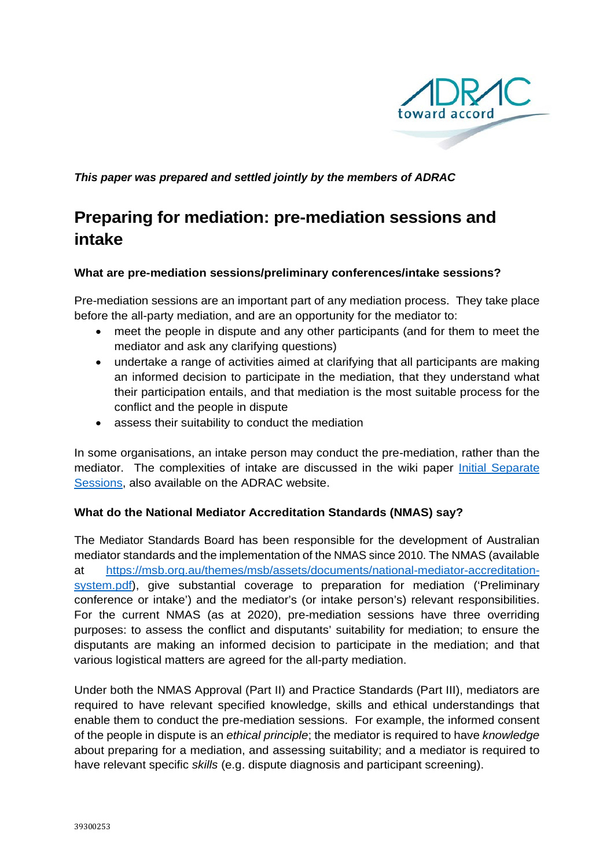

*This paper was prepared and settled jointly by the members of ADRAC*

# **Preparing for mediation: pre-mediation sessions and intake**

## **What are pre-mediation sessions/preliminary conferences/intake sessions?**

Pre-mediation sessions are an important part of any mediation process. They take place before the all-party mediation, and are an opportunity for the mediator to:

- meet the people in dispute and any other participants (and for them to meet the mediator and ask any clarifying questions)
- undertake a range of activities aimed at clarifying that all participants are making an informed decision to participate in the mediation, that they understand what their participation entails, and that mediation is the most suitable process for the conflict and the people in dispute
- assess their suitability to conduct the mediation

In some organisations, an intake person may conduct the pre-mediation, rather than the mediator. The complexities of intake are discussed in the wiki paper [Initial Separate](https://www.adrac.org.au/initial-separate-sessions)  [Sessions,](https://www.adrac.org.au/initial-separate-sessions) also available on the ADRAC website.

## **What do the National Mediator Accreditation Standards (NMAS) say?**

The Mediator Standards Board has been responsible for the development of Australian mediator standards and the implementation of the NMAS since 2010. The NMAS (available at [https://msb.org.au/themes/msb/assets/documents/national-mediator-accreditation](https://msb.org.au/themes/msb/assets/documents/national-mediator-accreditation-system.pdf)[system.pdf\)](https://msb.org.au/themes/msb/assets/documents/national-mediator-accreditation-system.pdf), give substantial coverage to preparation for mediation ('Preliminary conference or intake') and the mediator's (or intake person's) relevant responsibilities. For the current NMAS (as at 2020), pre-mediation sessions have three overriding purposes: to assess the conflict and disputants' suitability for mediation; to ensure the disputants are making an informed decision to participate in the mediation; and that various logistical matters are agreed for the all-party mediation.

Under both the NMAS Approval (Part II) and Practice Standards (Part III), mediators are required to have relevant specified knowledge, skills and ethical understandings that enable them to conduct the pre-mediation sessions. For example, the informed consent of the people in dispute is an *ethical principle*; the mediator is required to have *knowledge* about preparing for a mediation, and assessing suitability; and a mediator is required to have relevant specific *skills* (e.g. dispute diagnosis and participant screening).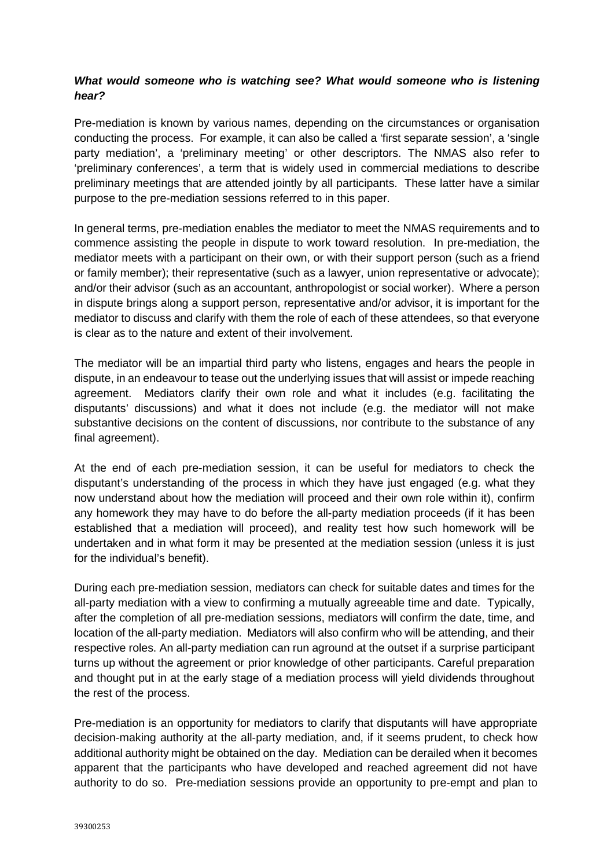## *What would someone who is watching see? What would someone who is listening hear?*

Pre-mediation is known by various names, depending on the circumstances or organisation conducting the process. For example, it can also be called a 'first separate session', a 'single party mediation', a 'preliminary meeting' or other descriptors. The NMAS also refer to 'preliminary conferences', a term that is widely used in commercial mediations to describe preliminary meetings that are attended jointly by all participants. These latter have a similar purpose to the pre-mediation sessions referred to in this paper.

In general terms, pre-mediation enables the mediator to meet the NMAS requirements and to commence assisting the people in dispute to work toward resolution. In pre-mediation, the mediator meets with a participant on their own, or with their support person (such as a friend or family member); their representative (such as a lawyer, union representative or advocate); and/or their advisor (such as an accountant, anthropologist or social worker). Where a person in dispute brings along a support person, representative and/or advisor, it is important for the mediator to discuss and clarify with them the role of each of these attendees, so that everyone is clear as to the nature and extent of their involvement.

The mediator will be an impartial third party who listens, engages and hears the people in dispute, in an endeavour to tease out the underlying issues that will assist or impede reaching agreement. Mediators clarify their own role and what it includes (e.g. facilitating the disputants' discussions) and what it does not include (e.g. the mediator will not make substantive decisions on the content of discussions, nor contribute to the substance of any final agreement).

At the end of each pre-mediation session, it can be useful for mediators to check the disputant's understanding of the process in which they have just engaged (e.g. what they now understand about how the mediation will proceed and their own role within it), confirm any homework they may have to do before the all-party mediation proceeds (if it has been established that a mediation will proceed), and reality test how such homework will be undertaken and in what form it may be presented at the mediation session (unless it is just for the individual's benefit).

During each pre-mediation session, mediators can check for suitable dates and times for the all-party mediation with a view to confirming a mutually agreeable time and date. Typically, after the completion of all pre-mediation sessions, mediators will confirm the date, time, and location of the all-party mediation. Mediators will also confirm who will be attending, and their respective roles. An all-party mediation can run aground at the outset if a surprise participant turns up without the agreement or prior knowledge of other participants. Careful preparation and thought put in at the early stage of a mediation process will yield dividends throughout the rest of the process.

Pre-mediation is an opportunity for mediators to clarify that disputants will have appropriate decision-making authority at the all-party mediation, and, if it seems prudent, to check how additional authority might be obtained on the day. Mediation can be derailed when it becomes apparent that the participants who have developed and reached agreement did not have authority to do so. Pre-mediation sessions provide an opportunity to pre-empt and plan to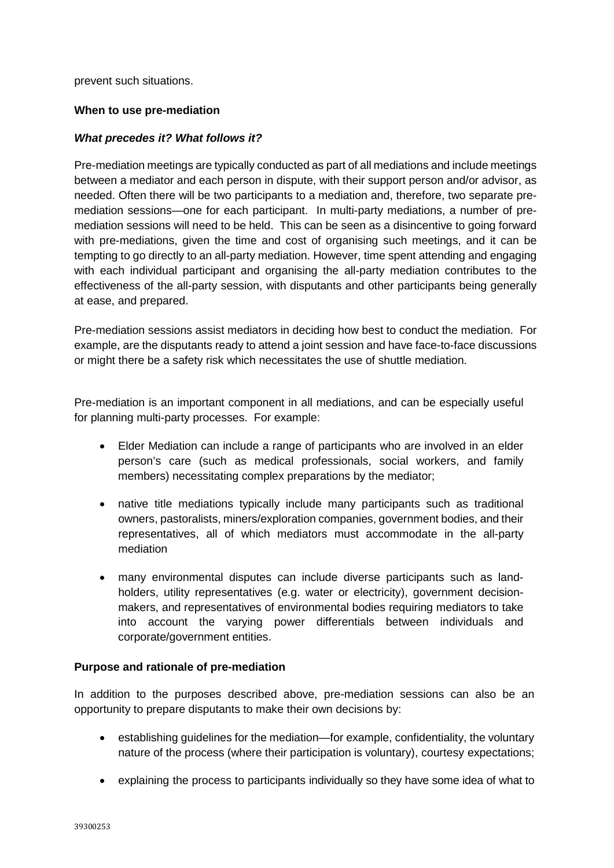prevent such situations.

#### **When to use pre-mediation**

## *What precedes it? What follows it?*

Pre-mediation meetings are typically conducted as part of all mediations and include meetings between a mediator and each person in dispute, with their support person and/or advisor, as needed. Often there will be two participants to a mediation and, therefore, two separate premediation sessions—one for each participant. In multi-party mediations, a number of premediation sessions will need to be held. This can be seen as a disincentive to going forward with pre-mediations, given the time and cost of organising such meetings, and it can be tempting to go directly to an all-party mediation. However, time spent attending and engaging with each individual participant and organising the all-party mediation contributes to the effectiveness of the all-party session, with disputants and other participants being generally at ease, and prepared.

Pre-mediation sessions assist mediators in deciding how best to conduct the mediation. For example, are the disputants ready to attend a joint session and have face-to-face discussions or might there be a safety risk which necessitates the use of shuttle mediation.

Pre-mediation is an important component in all mediations, and can be especially useful for planning multi-party processes. For example:

- Elder Mediation can include a range of participants who are involved in an elder person's care (such as medical professionals, social workers, and family members) necessitating complex preparations by the mediator;
- native title mediations typically include many participants such as traditional owners, pastoralists, miners/exploration companies, government bodies, and their representatives, all of which mediators must accommodate in the all-party mediation
- many environmental disputes can include diverse participants such as landholders, utility representatives (e.g. water or electricity), government decisionmakers, and representatives of environmental bodies requiring mediators to take into account the varying power differentials between individuals and corporate/government entities.

## **Purpose and rationale of pre-mediation**

In addition to the purposes described above, pre-mediation sessions can also be an opportunity to prepare disputants to make their own decisions by:

- establishing guidelines for the mediation—for example, confidentiality, the voluntary nature of the process (where their participation is voluntary), courtesy expectations;
- explaining the process to participants individually so they have some idea of what to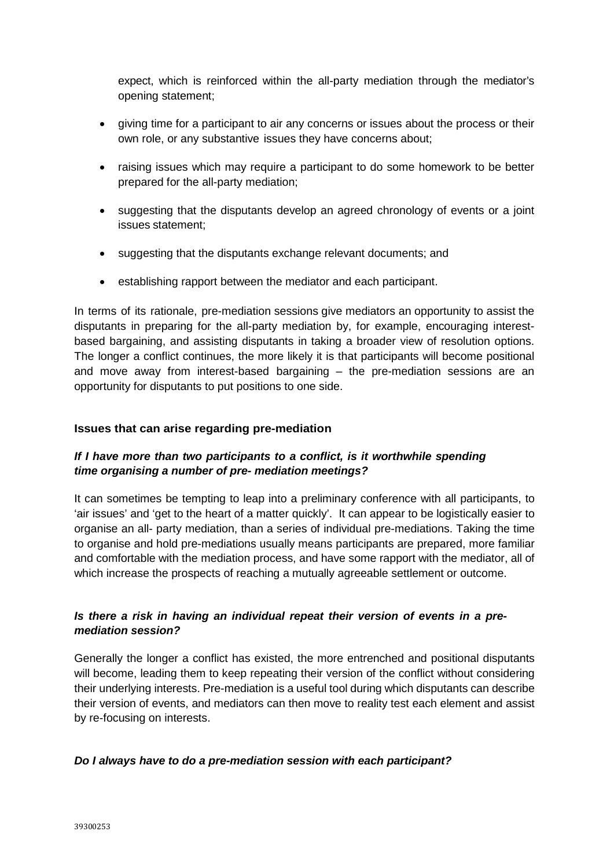expect, which is reinforced within the all-party mediation through the mediator's opening statement;

- giving time for a participant to air any concerns or issues about the process or their own role, or any substantive issues they have concerns about;
- raising issues which may require a participant to do some homework to be better prepared for the all-party mediation;
- suggesting that the disputants develop an agreed chronology of events or a joint issues statement;
- suggesting that the disputants exchange relevant documents; and
- establishing rapport between the mediator and each participant.

In terms of its rationale, pre-mediation sessions give mediators an opportunity to assist the disputants in preparing for the all-party mediation by, for example, encouraging interestbased bargaining, and assisting disputants in taking a broader view of resolution options. The longer a conflict continues, the more likely it is that participants will become positional and move away from interest-based bargaining – the pre-mediation sessions are an opportunity for disputants to put positions to one side.

## **Issues that can arise regarding pre-mediation**

# *If I have more than two participants to a conflict, is it worthwhile spending time organising a number of pre- mediation meetings?*

It can sometimes be tempting to leap into a preliminary conference with all participants, to 'air issues' and 'get to the heart of a matter quickly'. It can appear to be logistically easier to organise an all- party mediation, than a series of individual pre-mediations. Taking the time to organise and hold pre-mediations usually means participants are prepared, more familiar and comfortable with the mediation process, and have some rapport with the mediator, all of which increase the prospects of reaching a mutually agreeable settlement or outcome.

# *Is there a risk in having an individual repeat their version of events in a premediation session?*

Generally the longer a conflict has existed, the more entrenched and positional disputants will become, leading them to keep repeating their version of the conflict without considering their underlying interests. Pre-mediation is a useful tool during which disputants can describe their version of events, and mediators can then move to reality test each element and assist by re-focusing on interests.

## *Do I always have to do a pre-mediation session with each participant?*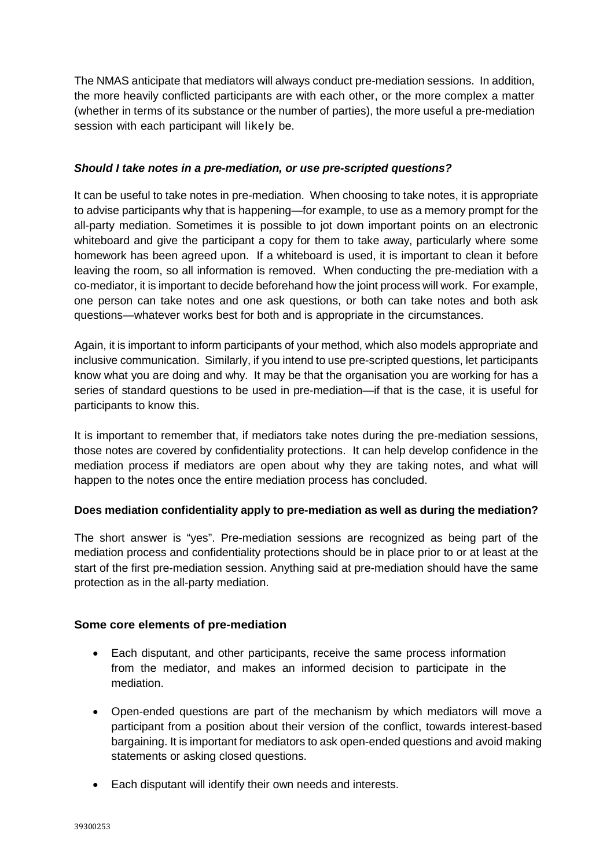The NMAS anticipate that mediators will always conduct pre-mediation sessions. In addition, the more heavily conflicted participants are with each other, or the more complex a matter (whether in terms of its substance or the number of parties), the more useful a pre-mediation session with each participant will likely be.

## *Should I take notes in a pre-mediation, or use pre-scripted questions?*

It can be useful to take notes in pre-mediation. When choosing to take notes, it is appropriate to advise participants why that is happening—for example, to use as a memory prompt for the all-party mediation. Sometimes it is possible to jot down important points on an electronic whiteboard and give the participant a copy for them to take away, particularly where some homework has been agreed upon. If a whiteboard is used, it is important to clean it before leaving the room, so all information is removed. When conducting the pre-mediation with a co-mediator, it is important to decide beforehand how the joint process will work. For example, one person can take notes and one ask questions, or both can take notes and both ask questions—whatever works best for both and is appropriate in the circumstances.

Again, it is important to inform participants of your method, which also models appropriate and inclusive communication. Similarly, if you intend to use pre-scripted questions, let participants know what you are doing and why. It may be that the organisation you are working for has a series of standard questions to be used in pre-mediation—if that is the case, it is useful for participants to know this.

It is important to remember that, if mediators take notes during the pre-mediation sessions, those notes are covered by confidentiality protections. It can help develop confidence in the mediation process if mediators are open about why they are taking notes, and what will happen to the notes once the entire mediation process has concluded.

# **Does mediation confidentiality apply to pre-mediation as well as during the mediation?**

The short answer is "yes". Pre-mediation sessions are recognized as being part of the mediation process and confidentiality protections should be in place prior to or at least at the start of the first pre-mediation session. Anything said at pre-mediation should have the same protection as in the all-party mediation.

## **Some core elements of pre-mediation**

- Each disputant, and other participants, receive the same process information from the mediator, and makes an informed decision to participate in the mediation.
- Open-ended questions are part of the mechanism by which mediators will move a participant from a position about their version of the conflict, towards interest-based bargaining. It is important for mediators to ask open-ended questions and avoid making statements or asking closed questions.
- Each disputant will identify their own needs and interests.